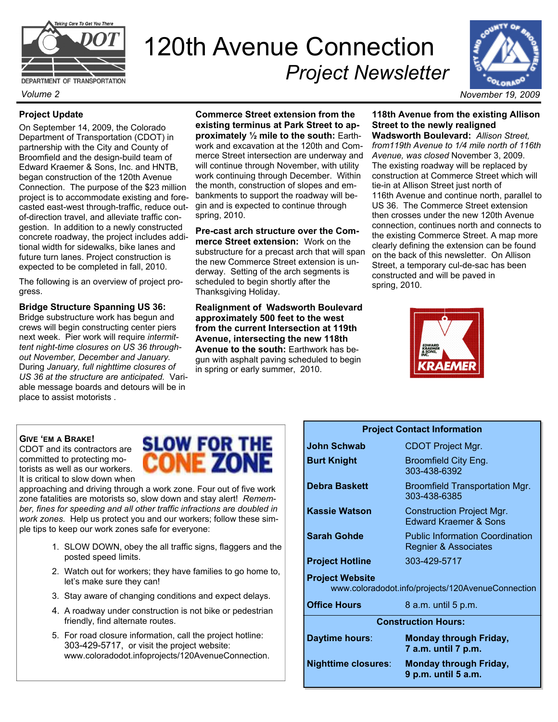

DEPARTMENT OF TRANSPORTATION

## **Project Update**

On September 14, 2009, the Colorado Department of Transportation (CDOT) in partnership with the City and County of Broomfield and the design-build team of Edward Kraemer & Sons, Inc. and HNTB, began construction of the 120th Avenue Connection. The purpose of the \$23 million project is to accommodate existing and forecasted east-west through-traffic, reduce outof-direction travel, and alleviate traffic congestion. In addition to a newly constructed concrete roadway, the project includes additional width for sidewalks, bike lanes and future turn lanes. Project construction is expected to be completed in fall, 2010.

The following is an overview of project progress.

**Bridge Structure Spanning US 36:** 

Bridge substructure work has begun and crews will begin constructing center piers next week. Pier work will require *intermittent night-time closures on US 36 throughout November, December and January.*  During *January, full nighttime closures of US 36 at the structure are anticipated.* Variable message boards and detours will be in place to assist motorists .

**Commerce Street extension from the existing terminus at Park Street to approximately ½ mile to the south:** Earthwork and excavation at the 120th and Commerce Street intersection are underway and will continue through November, with utility work continuing through December. Within the month, construction of slopes and embankments to support the roadway will begin and is expected to continue through spring, 2010.

120th Avenue Connection

*Project Newsletter* 

**Pre-cast arch structure over the Commerce Street extension:** Work on the substructure for a precast arch that will span the new Commerce Street extension is underway. Setting of the arch segments is scheduled to begin shortly after the Thanksgiving Holiday.

**Realignment of Wadsworth Boulevard approximately 500 feet to the west from the current Intersection at 119th Avenue, intersecting the new 118th Avenue to the south:** Earthwork has begun with asphalt paving scheduled to begin in spring or early summer, 2010.

**118th Avenue from the existing Allison Street to the newly realigned Wadsworth Boulevard:** *Allison Street,* 

*from119th Avenue to 1/4 mile north of 116th Avenue, was closed* November 3, 2009. The existing roadway will be replaced by construction at Commerce Street which will tie-in at Allison Street just north of 116th Avenue and continue north, parallel to US 36. The Commerce Street extension then crosses under the new 120th Avenue connection, continues north and connects to the existing Commerce Street. A map more clearly defining the extension can be found on the back of this newsletter. On Allison Street, a temporary cul-de-sac has been constructed and will be paved in spring, 2010.



## **GIVE 'EM A BRAKE!**

CDOT and its contractors are committed to protecting motorists as well as our workers. It is critical to slow down when

approaching and driving through a work zone. Four out of five work zone fatalities are motorists so, slow down and stay alert! *Remember, fines for speeding and all other traffic infractions are doubled in work zones.* Help us protect you and our workers; follow these simple tips to keep our work zones safe for everyone:

- 1. SLOW DOWN, obey the all traffic signs, flaggers and the posted speed limits.
- 2. Watch out for workers; they have families to go home to, let's make sure they can!
- 3. Stay aware of changing conditions and expect delays.
- 4. A roadway under construction is not bike or pedestrian friendly, find alternate routes.
- 5. For road closure information, call the project hotline: 303-429-5717, or visit the project website: www.coloradodot.infoprojects/120AvenueConnection.

## **SLOW FOR THE** CONE ZON

| JONN SCHWAD                                                                 | <b>CDOT PROJECT MIGH.</b>                                      |
|-----------------------------------------------------------------------------|----------------------------------------------------------------|
| <b>Burt Knight</b>                                                          | Broomfield City Eng.<br>303-438-6392                           |
| Debra Baskett                                                               | Broomfield Transportation Mgr.<br>303-438-6385                 |
| <b>Kassie Watson</b>                                                        | <b>Construction Project Mgr.</b><br>Edward Kraemer & Sons      |
| <b>Sarah Gohde</b>                                                          | <b>Public Information Coordination</b><br>Regnier & Associates |
| <b>Project Hotline</b>                                                      | 303-429-5717                                                   |
| <b>Project Website</b><br>www.coloradodot.info/projects/120AvenueConnection |                                                                |
| <b>Office Hours</b>                                                         | 8 a.m. until 5 p.m.                                            |
| <b>Construction Hours:</b>                                                  |                                                                |
| Daytime hours:                                                              | <b>Monday through Friday,</b><br>7 a.m. until 7 p.m.           |
| <b>Nighttime closures:</b>                                                  | <b>Monday through Friday,</b>                                  |

**9 p.m. until 5 a.m.** 

**Project Contact Information** 

**John Schwab** CDOT Project Mgr.